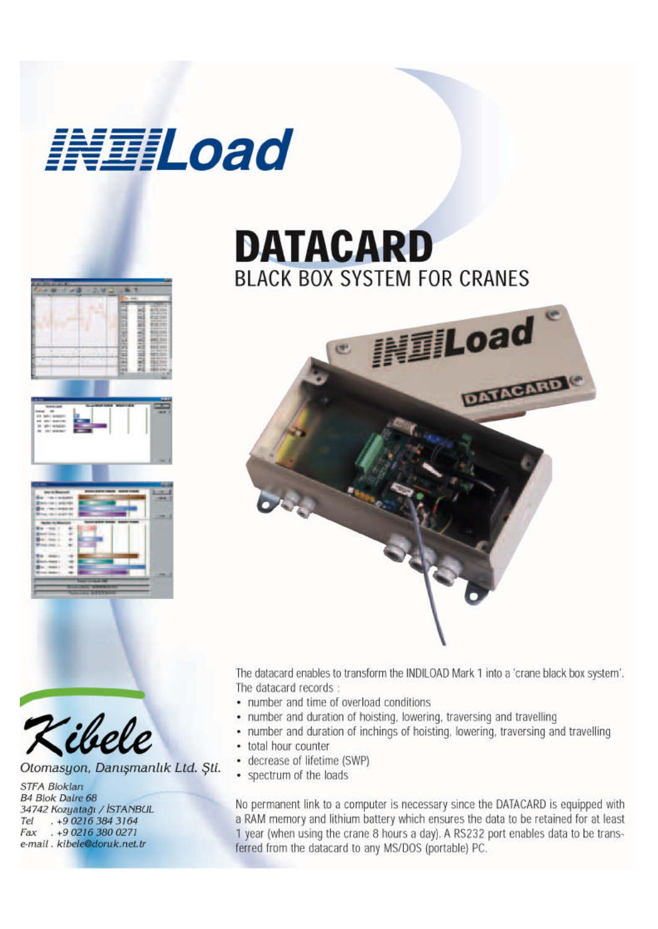

## **DATACARD BLACK BOX SYSTEM FOR CRANES**



The datacard enables to transform the INDILOAD Mark 1 into a 'crane black box system'. The datacard records:

- number and time of overload conditions
- number and duration of hoisting, lowering, traversing and travelling
- number and duration of inchings of hoisting, lowering, traversing and travelling
- total hour counter
- decrease of lifetime (SWP)
- spectrum of the loads

No permanent link to a computer is necessary since the DATACARD is equipped with a RAM memory and lithium battery which ensures the data to be retained for at least 1 year (when using the crane 8 hours a day). A RS232 port enables data to be transferred from the datacard to any MS/DOS (portable) PC.





Otomasyon, Danışmanlık Ltd. Sti.

**STFA Bloklart** B4 Blok Daire 68 34742 Kozyatağı / İSTANBUL . +9 0216 384 3164 Tel Fax . +9 0216 380 0271 e-mail. kibele@doruk.net.tr